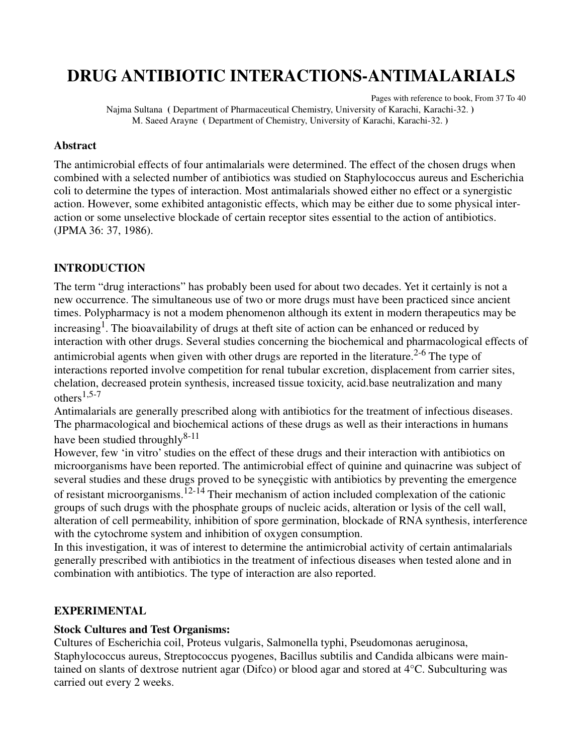# **DRUG ANTIBIOTIC INTERACTIONS-ANTIMALARIALS**

Pages with reference to book, From 37 To 40 Najma Sultana **(** Department of Pharmaceutical Chemistry, University of Karachi, Karachi-32. **)**  M. Saeed Arayne **(** Department of Chemistry, University of Karachi, Karachi-32. **)** 

#### **Abstract**

The antimicrobial effects of four antimalarials were determined. The effect of the chosen drugs when combined with a selected number of antibiotics was studied on Staphylococcus aureus and Escherichia coli to determine the types of interaction. Most antimalarials showed either no effect or a synergistic action. However, some exhibited antagonistic effects, which may be either due to some physical interaction or some unselective blockade of certain receptor sites essential to the action of antibiotics. (JPMA 36: 37, 1986).

#### **INTRODUCTION**

The term "drug interactions" has probably been used for about two decades. Yet it certainly is not a new occurrence. The simultaneous use of two or more drugs must have been practiced since ancient times. Polypharmacy is not a modem phenomenon although its extent in modern therapeutics may be increasing<sup>1</sup>. The bioavailability of drugs at theft site of action can be enhanced or reduced by interaction with other drugs. Several studies concerning the biochemical and pharmacological effects of antimicrobial agents when given with other drugs are reported in the literature.<sup>2-6</sup> The type of interactions reported involve competition for renal tubular excretion, displacement from carrier sites, chelation, decreased protein synthesis, increased tissue toxicity, acid.base neutralization and many others<sup>1,5-7</sup>

Antimalarials are generally prescribed along with antibiotics for the treatment of infectious diseases. The pharmacological and biochemical actions of these drugs as well as their interactions in humans have been studied throughly $8-11$ 

However, few 'in vitro' studies on the effect of these drugs and their interaction with antibiotics on microorganisms have been reported. The antimicrobial effect of quinine and quinacrine was subject of several studies and these drugs proved to be syneçgistic with antibiotics by preventing the emergence of resistant microorganisms.<sup>12-14</sup> Their mechanism of action included complexation of the cationic groups of such drugs with the phosphate groups of nucleic acids, alteration or lysis of the cell wall, alteration of cell permeability, inhibition of spore germination, blockade of RNA synthesis, interference with the cytochrome system and inhibition of oxygen consumption.

In this investigation, it was of interest to determine the antimicrobial activity of certain antimalarials generally prescribed with antibiotics in the treatment of infectious diseases when tested alone and in combination with antibiotics. The type of interaction are also reported.

#### **EXPERIMENTAL**

#### **Stock Cultures and Test Organisms:**

Cultures of Escherichia coil, Proteus vulgaris, Salmonella typhi, Pseudomonas aeruginosa, Staphylococcus aureus, Streptococcus pyogenes, Bacillus subtilis and Candida albicans were maintained on slants of dextrose nutrient agar (Difco) or blood agar and stored at 4°C. Subculturing was carried out every 2 weeks.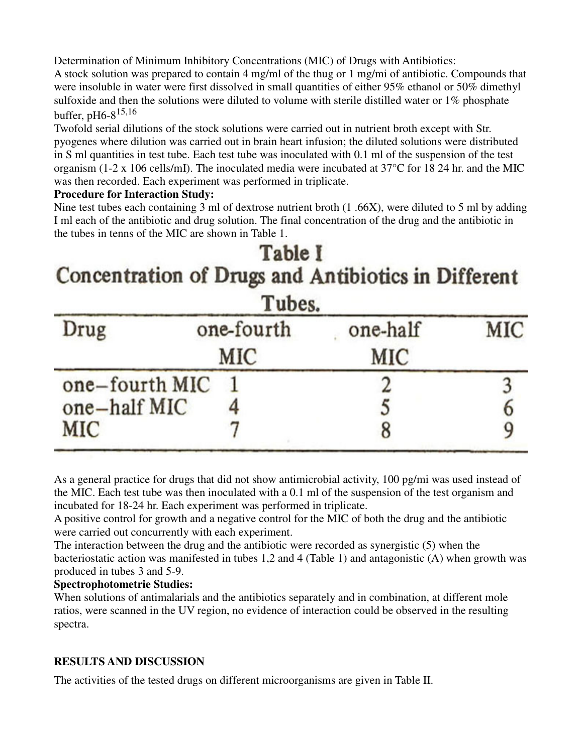Determination of Minimum Inhibitory Concentrations (MIC) of Drugs with Antibiotics: A stock solution was prepared to contain 4 mg/ml of the thug or 1 mg/mi of antibiotic. Compounds that

were insoluble in water were first dissolved in small quantities of either 95% ethanol or 50% dimethyl sulfoxide and then the solutions were diluted to volume with sterile distilled water or 1% phosphate buffer, pH6-815,16

Twofold serial dilutions of the stock solutions were carried out in nutrient broth except with Str. pyogenes where dilution was carried out in brain heart infusion; the diluted solutions were distributed in S ml quantities in test tube. Each test tube was inoculated with 0.1 ml of the suspension of the test organism (1-2 x 106 cells/mI). The inoculated media were incubated at 37°C for 18 24 hr. and the MIC was then recorded. Each experiment was performed in triplicate.

#### **Procedure for Interaction Study:**

Nine test tubes each containing 3 ml of dextrose nutrient broth (1 .66X), were diluted to 5 ml by adding I ml each of the antibiotic and drug solution. The final concentration of the drug and the antibiotic in the tubes in tenns of the MIC are shown in Table 1.

## Table I Concentration of Drugs and Antibiotics in Different  $-1$

| I ubes.        |                   |                 |     |  |  |  |
|----------------|-------------------|-----------------|-----|--|--|--|
| Drug           | one-fourth<br>MIC | one-half<br>MIC | MIC |  |  |  |
| one-fourth MIC |                   |                 |     |  |  |  |
| one-half MIC   |                   |                 |     |  |  |  |
| MIC            |                   | ð               |     |  |  |  |

As a general practice for drugs that did not show antimicrobial activity, 100 pg/mi was used instead of the MIC. Each test tube was then inoculated with a 0.1 ml of the suspension of the test organism and incubated for 18-24 hr. Each experiment was performed in triplicate.

A positive control for growth and a negative control for the MIC of both the drug and the antibiotic were carried out concurrently with each experiment.

The interaction between the drug and the antibiotic were recorded as synergistic (5) when the bacteriostatic action was manifested in tubes 1,2 and 4 (Table 1) and antagonistic (A) when growth was produced in tubes 3 and 5-9.

#### **Spectrophotometrie Studies:**

When solutions of antimalarials and the antibiotics separately and in combination, at different mole ratios, were scanned in the UV region, no evidence of interaction could be observed in the resulting spectra.

### **RESULTS AND DISCUSSION**

The activities of the tested drugs on different microorganisms are given in Table II.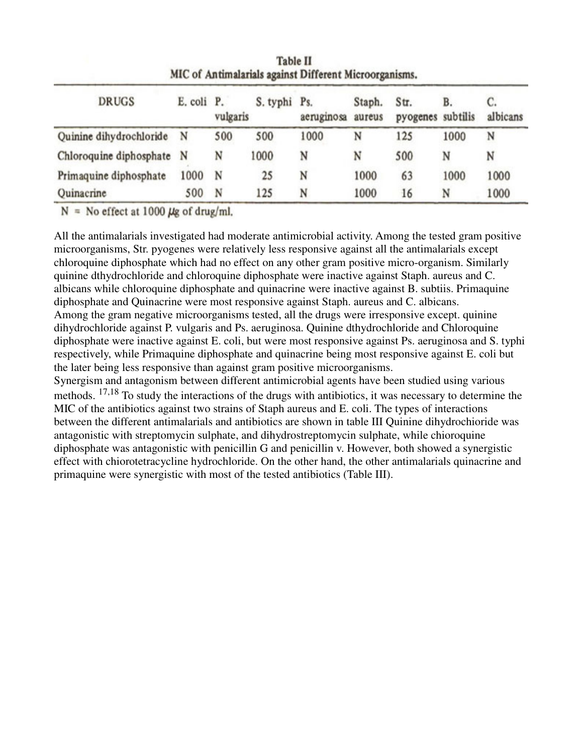| MIC of Antimalarials against Different Microorganisms. |            |          |              |            |                  |                           |      |          |
|--------------------------------------------------------|------------|----------|--------------|------------|------------------|---------------------------|------|----------|
| <b>DRUGS</b>                                           | E. coli P. | vulgaris | S. typhi Ps. | aeruginosa | Staph.<br>aureus | Str.<br>pyogenes subtilis | B.   | albicans |
| Quinine dihydrochloride                                | N          | 500      | 500          | 1000       | N                | 125                       | 1000 | N        |
| Chloroquine diphosphate N                              |            | N        | 1000         | N          | N                | 500                       | N    | N        |
| Primaquine diphosphate                                 | 1000       | N        | 25           | N          | 1000             | 63                        | 1000 | 1000     |
| Quinacrine                                             | 500        | N        | 125          | N          | 1000             | 16                        | N    | 1000     |

**Table II** 

 $N = No$  effect at 1000  $\mu$ g of drug/ml.

All the antimalarials investigated had moderate antimicrobial activity. Among the tested gram positive microorganisms, Str. pyogenes were relatively less responsive against all the antimalarials except chloroquine diphosphate which had no effect on any other gram positive micro-organism. Similarly quinine dthydrochloride and chloroquine diphosphate were inactive against Staph. aureus and C. albicans while chloroquine diphosphate and quinacrine were inactive against B. subtiis. Primaquine diphosphate and Quinacrine were most responsive against Staph. aureus and C. albicans. Among the gram negative microorganisms tested, all the drugs were irresponsive except. quinine dihydrochloride against P. vulgaris and Ps. aeruginosa. Quinine dthydrochloride and Chloroquine diphosphate were inactive against E. coli, but were most responsive against Ps. aeruginosa and S. typhi respectively, while Primaquine diphosphate and quinacrine being most responsive against E. coli but the later being less responsive than against gram positive microorganisms.

Synergism and antagonism between different antimicrobial agents have been studied using various methods. <sup>17,18</sup> To study the interactions of the drugs with antibiotics, it was necessary to determine the MIC of the antibiotics against two strains of Staph aureus and E. coli. The types of interactions between the different antimalarials and antibiotics are shown in table III Quinine dihydrochioride was antagonistic with streptomycin sulphate, and dihydrostreptomycin sulphate, while chioroquine diphosphate was antagonistic with penicillin G and penicillin v. However, both showed a synergistic effect with chiorotetracycline hydrochloride. On the other hand, the other antimalarials quinacrine and primaquine were synergistic with most of the tested antibiotics (Table III).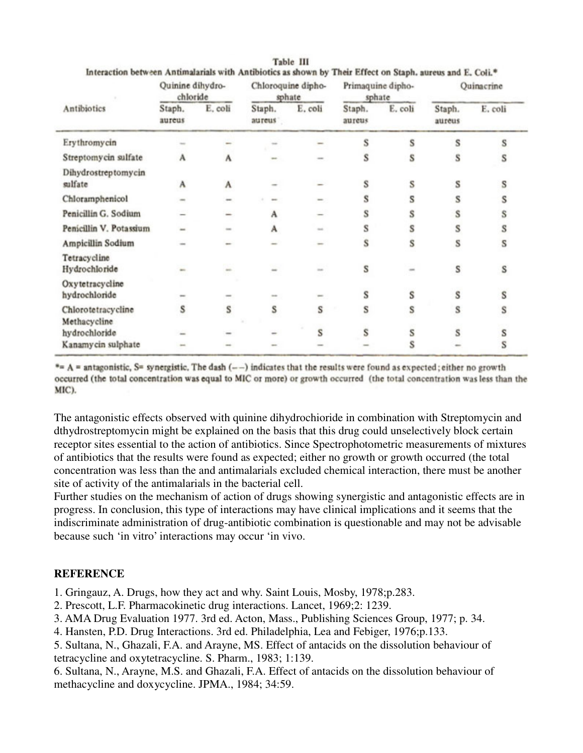| Antibiotics                      | Quinine dihydro-<br>chloride |               | Chloroquine dipho-<br>sphate |              | Primaquine dipho-<br>sphate |         | Quinacrine       |         |
|----------------------------------|------------------------------|---------------|------------------------------|--------------|-----------------------------|---------|------------------|---------|
|                                  | Staph.<br>aureus             | E, coli       | Staph.<br>aureus             | E. coli      | Staph.<br>aureus            | E. coli | Staph.<br>aureus | E. coli |
| Erythromycin                     |                              |               |                              |              | s                           | s       | s                | s       |
| Streptomycin sulfate             | A                            | A             |                              |              | s                           | S       | s                | s       |
| Dihydrostreptomycin<br>sulfate   | А                            | A             |                              |              | s                           | S       | s                | s       |
| Chloramphenicol                  |                              | $\frac{1}{2}$ |                              |              | s                           | s       | S                |         |
| Penicillin G. Sodium             |                              |               | A                            |              | s                           | S       | S                |         |
| Penicillin V. Potassium          |                              |               | A                            | <b>Senti</b> | s                           | s       | S                | s       |
| Ampicillin Sodium                |                              |               |                              |              | S                           | Š       | S                | s       |
| Tetracycline<br>Hydrochloride    |                              |               |                              |              | S                           |         | S                | s       |
| Oxytetracycline<br>hydrochloride | m.                           |               |                              |              | s                           | S       | S                | s       |
| Chlorotetracycline               | s                            | S             | S                            | s            | s                           | s       | S                | s       |
| Methacycline<br>hydrochloride    |                              |               |                              | S            | S                           | S       | S                |         |
| Kanamycin sulphate               |                              |               |                              |              |                             | S       |                  | s       |

Table III Interaction between Antimalarials with Antibiotics as shown by Their Effect on Staph. aureus and E. Coli.\*

 $A = A$  = antagonistic, S= synergistic. The dash (--) indicates that the results were found as expected; either no growth occurred (the total concentration was equal to MIC or more) or growth occurred (the total concentration was less than the MIC).

The antagonistic effects observed with quinine dihydrochioride in combination with Streptomycin and dthydrostreptomycin might be explained on the basis that this drug could unselectively block certain receptor sites essential to the action of antibiotics. Since Spectrophotometric measurements of mixtures of antibiotics that the results were found as expected; either no growth or growth occurred (the total concentration was less than the and antimalarials excluded chemical interaction, there must be another site of activity of the antimalarials in the bacterial cell.

Further studies on the mechanism of action of drugs showing synergistic and antagonistic effects are in progress. In conclusion, this type of interactions may have clinical implications and it seems that the indiscriminate administration of drug-antibiotic combination is questionable and may not be advisable because such 'in vitro' interactions may occur 'in vivo.

#### **REFERENCE**

- 1. Gringauz, A. Drugs, how they act and why. Saint Louis, Mosby, 1978;p.283.
- 2. Prescott, L.F. Pharmacokinetic drug interactions. Lancet, 1969;2: 1239.
- 3. AMA Drug Evaluation 1977. 3rd ed. Acton, Mass., Publishing Sciences Group, 1977; p. 34.
- 4. Hansten, P.D. Drug Interactions. 3rd ed. Philadelphia, Lea and Febiger, 1976;p.133.
- 5. Sultana, N., Ghazali, F.A. and Arayne, MS. Effect of antacids on the dissolution behaviour of tetracycline and oxytetracycline. S. Pharm., 1983; 1:139.
- 6. Sultana, N., Arayne, M.S. and Ghazali, F.A. Effect of antacids on the dissolution behaviour of methacycline and doxycycline. JPMA., 1984; 34:59.